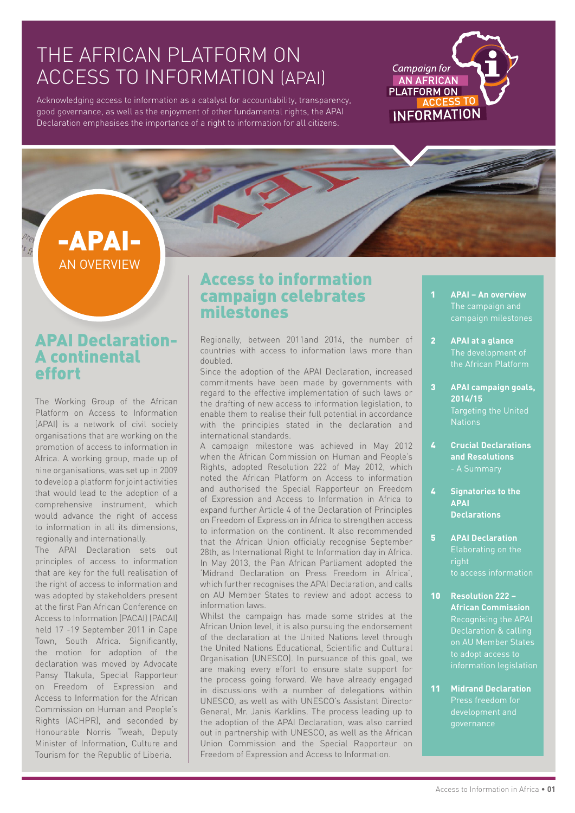## THE AFRICAN PLATFORM ON ACCESS TO INFORMATION (APAI)

Acknowledging access to information as a catalyst for accountability, transparency, good governance, as well as the enjoyment of other fundamental rights, the APAI Declaration emphasises the importance of a right to information for all citizens.

## Campaign for AN AFRICAN **PLATFORM ON INFORMATION**

## -APAI-AN OVERVIEW

### APAI Declaration-A continental effort

The Working Group of the African Platform on Access to Information (APAI) is a network of civil society organisations that are working on the promotion of access to information in Africa. A working group, made up of nine organisations, was set up in 2009 to develop a platform for joint activities that would lead to the adoption of a comprehensive instrument, which would advance the right of access to information in all its dimensions, regionally and internationally.

The APAI Declaration sets out principles of access to information that are key for the full realisation of the right of access to information and was adopted by stakeholders present at the first Pan African Conference on Access to Information (PACAI) (PACAI) held 17 -19 September 2011 in Cape Town, South Africa. Significantly, the motion for adoption of the declaration was moved by Advocate Pansy Tlakula, Special Rapporteur on Freedom of Expression and Access to Information for the African Commission on Human and People's Rights (ACHPR), and seconded by Honourable Norris Tweah, Deputy Minister of Information, Culture and Tourism for the Republic of Liberia.

### Access to information campaign celebrates milestones

Regionally, between 2011and 2014, the number of countries with access to information laws more than doubled.

Since the adoption of the APAI Declaration, increased commitments have been made by governments with regard to the effective implementation of such laws or the drafting of new access to information legislation, to enable them to realise their full potential in accordance with the principles stated in the declaration and international standards.

A campaign milestone was achieved in May 2012 when the African Commission on Human and People's Rights, adopted Resolution 222 of May 2012, which noted the African Platform on Access to information and authorised the Special Rapporteur on Freedom of Expression and Access to Information in Africa to expand further Article 4 of the Declaration of Principles on Freedom of Expression in Africa to strengthen access to information on the continent. It also recommended that the African Union officially recognise September 28th, as International Right to Information day in Africa. In May 2013, the Pan African Parliament adopted the 'Midrand Declaration on Press Freedom in Africa', which further recognises the APAI Declaration, and calls on AU Member States to review and adopt access to information laws.

Whilst the campaign has made some strides at the African Union level, it is also pursuing the endorsement of the declaration at the United Nations level through the United Nations Educational, Scientific and Cultural Organisation (UNESCO). In pursuance of this goal, we are making every effort to ensure state support for the process going forward. We have already engaged in discussions with a number of delegations within UNESCO, as well as with UNESCO's Assistant Director General, Mr. Janis Karklins. The process leading up to the adoption of the APAI Declaration, was also carried out in partnership with UNESCO, as well as the African Union Commission and the Special Rapporteur on Freedom of Expression and Access to Information.

- **APAI An overview** The campaign and campaign milestones
- **APAI at a glance** the African Platform 2
- **APAI campaign goals, 2014/15** Targeting the United **Nations** 3
- **Crucial Declarations and Resolutions** - A Summary  $\mathbf{r}$
- **Signatories to the APAI Declarations**  $\overline{L}$
- **APAI Declaration** Elaborating on the to access information 5
- **Resolution 222**  10 **African Commission** Recognising the APAI Declaration & calling on AU Member States to adopt access to
- **Midrand Declaration** development and governance 11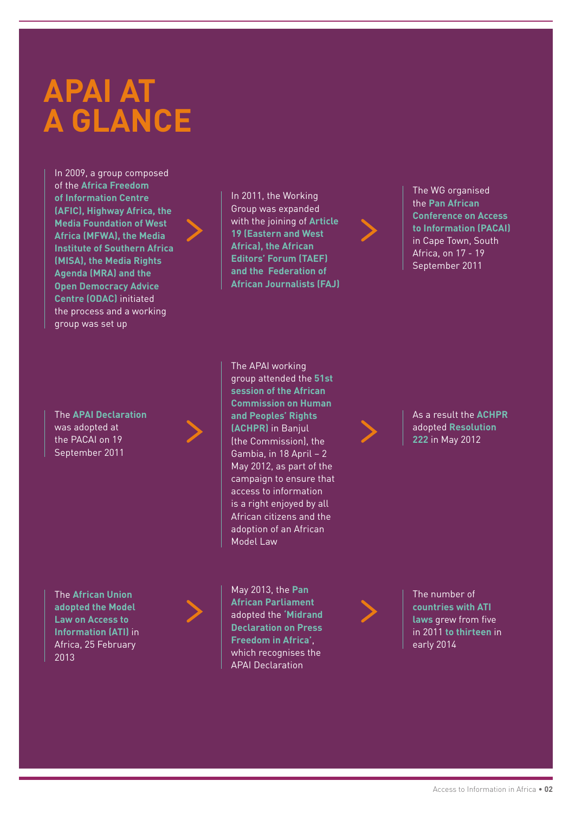# **APAI AT A GLANCE**

In 2009, a group composed of the **Africa Freedom of Information Centre (AFIC), Highway Africa, the Media Foundation of West Africa (MFWA), the Media Institute of Southern Africa (MISA), the Media Rights Agenda (MRA) and the Open Democracy Advice Centre (ODAC)** initiated the process and a working group was set up

The **APAI Declaration** was adopted at the PACAI on 19 September 2011

The **African Union adopted the Model Law on Access to Information (ATI)** in Africa, 25 February 2013



May 2013, the **Pan African Parliament**  adopted the **'Midrand Declaration on Press Freedom in Africa'**, which recognises the APAI Declaration

**session of the African Commission on Human and Peoples' Rights (ACHPR)** in Banjul (the Commission), the Gambia, in 18 April – 2 May 2012, as part of the campaign to ensure that access to information is a right enjoyed by all African citizens and the adoption of an African Model Law

The APAI working group attended the **51st** 

In 2011, the Working Group was expanded with the joining of **Article 19 (Eastern and West Africa), the African Editors' Forum (TAEF) and the Federation of African Journalists (FAJ)**

The number of **countries with ATI laws** grew from five in 2011 **to thirteen** in early 2014



As a result the **ACHPR** adopted **Resolution 222** in May 2012

The WG organised the **Pan African Conference on Access to Information (PACAI)** in Cape Town, South Africa, on 17 - 19 September 2011

Access to Information in Africa • **02**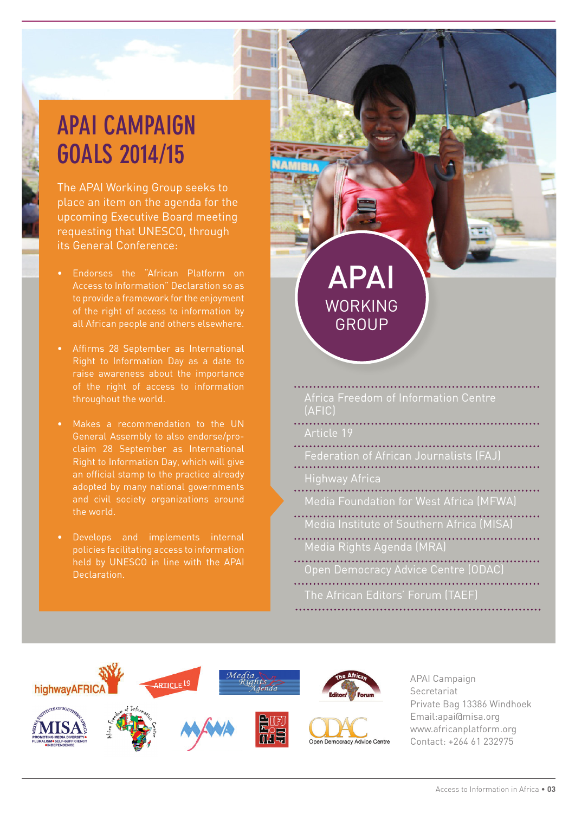## **APAI CAMPAIGN GOALS 2014/15**

The APAI Working Group seeks to place an item on the agenda for the upcoming Executive Board meeting requesting that UNESCO, through its General Conference:

- Endorses the "African Platform on
- throughout the world.
- General Assembly to also endorse/proan official stamp to the practice already adopted by many national governments and civil society organizations around the world.
- policies facilitating access to information held by UNESCO in line with the APAI Declaration.

| <b>APAI</b><br><b>WORKING</b><br>GROUP         |
|------------------------------------------------|
| Africa Freedom of Information Centre<br>(AFIC) |
| Article 19                                     |
| Federation of African Journalists (FAJ)        |
| <b>Highway Africa</b>                          |
| <b>Media Foundation for West Africa (MFWA)</b> |
| Media Institute of Southern Africa (MISA)      |
| Media Rights Agenda (MRA)                      |
| Open Democracy Advice Centre (ODAC)            |
| The African Editors' Forum (TAEF)              |



APAI Campaign Secretariat Private Bag 13386 Windhoek Email:apai@misa.org www.africanplatform.org Contact: +264 61 232975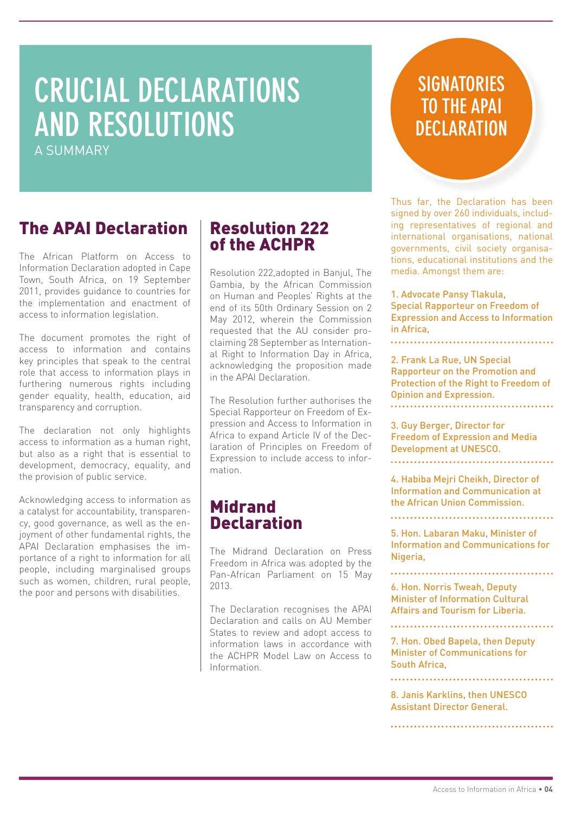# **CRUCIAL DECLARATIONS AND RESOLUTIONS**

A SUMMARY

## **SIGNATORIES TO THE APAI DECLARATION**

Thus far, the Declaration has been signed by over 260 individuals, including representatives of regional and international organisations, national governments, civil society organisations, educational institutions and the media. Amongst them are:

1. Advocate Pansy Tlakula, Special Rapporteur on Freedom of Expression and Access to Information in Africa,

2. Frank La Rue, UN Special Rapporteur on the Promotion and Protection of the Right to Freedom of Opinion and Expression. 

3. Guy Berger, Director for Freedom of Expression and Media Development at UNESCO.

4. Habiba Mejri Cheikh, Director of Information and Communication at the African Union Commission.

5. Hon. Labaran Maku, Minister of Information and Communications for Nigeria,

6. Hon. Norris Tweah, Deputy Minister of Information Cultural Affairs and Tourism for Liberia.

7. Hon. Obed Bapela, then Deputy Minister of Communications for South Africa,

8. Janis Karklins, then UNESCO Assistant Director General.

### The APAI Declaration

The African Platform on Access to Information Declaration adopted in Cape Town, South Africa, on 19 September 2011, provides guidance to countries for the implementation and enactment of access to information legislation.

The document promotes the right of access to information and contains key principles that speak to the central role that access to information plays in furthering numerous rights including gender equality, health, education, aid transparency and corruption.

The declaration not only highlights access to information as a human right, but also as a right that is essential to development, democracy, equality, and the provision of public service.

Acknowledging access to information as a catalyst for accountability, transparency, good governance, as well as the enjoyment of other fundamental rights, the APAI Declaration emphasises the importance of a right to information for all people, including marginalised groups such as women, children, rural people, the poor and persons with disabilities.

### Resolution 222 of the ACHPR

Resolution 222,adopted in Banjul, The Gambia, by the African Commission on Human and Peoples' Rights at the end of its 50th Ordinary Session on 2 May 2012, wherein the Commission requested that the AU consider proclaiming 28 September as International Right to Information Day in Africa, acknowledging the proposition made in the APAI Declaration.

The Resolution further authorises the Special Rapporteur on Freedom of Expression and Access to Information in Africa to expand Article IV of the Declaration of Principles on Freedom of Expression to include access to information.

### Midrand **Declaration**

The Midrand Declaration on Press Freedom in Africa was adopted by the Pan-African Parliament on 15 May 2013.

The Declaration recognises the APAI Declaration and calls on AU Member States to review and adopt access to information laws in accordance with the ACHPR Model Law on Access to Information.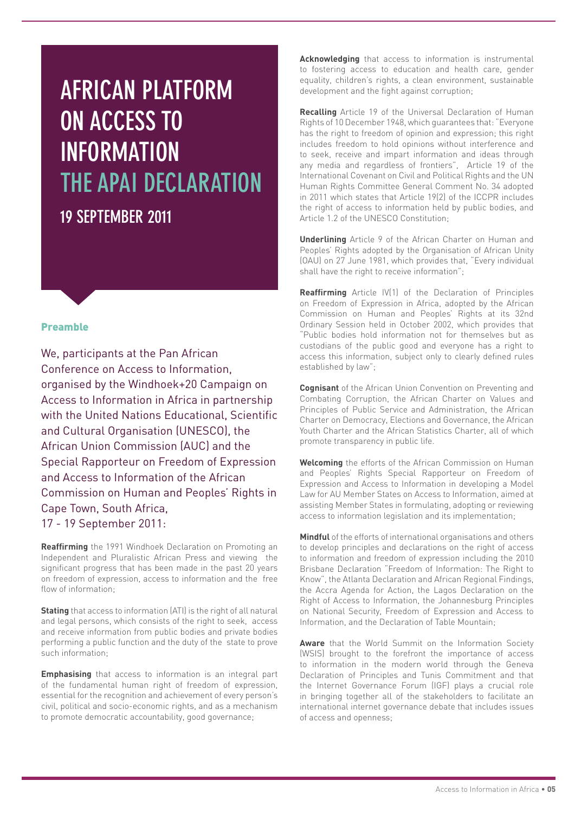## **AFRICAN PLATFORM ON ACCESS TO INFORMATION THE APAI DECLARATION 19 SEPTEMBER 2011**

#### Preamble

We, participants at the Pan African Conference on Access to Information, organised by the Windhoek+20 Campaign on Access to Information in Africa in partnership with the United Nations Educational, Scientific and Cultural Organisation (UNESCO), the African Union Commission (AUC) and the Special Rapporteur on Freedom of Expression and Access to Information of the African Commission on Human and Peoples' Rights in Cape Town, South Africa, 17 - 19 September 2011:

**Reaffirming** the 1991 Windhoek Declaration on Promoting an Independent and Pluralistic African Press and viewing the significant progress that has been made in the past 20 years on freedom of expression, access to information and the free flow of information;

**Stating** that access to information (ATI) is the right of all natural and legal persons, which consists of the right to seek, access and receive information from public bodies and private bodies performing a public function and the duty of the state to prove such information;

**Emphasising** that access to information is an integral part of the fundamental human right of freedom of expression, essential for the recognition and achievement of every person's civil, political and socio-economic rights, and as a mechanism to promote democratic accountability, good governance;

**Acknowledging** that access to information is instrumental to fostering access to education and health care, gender equality, children's rights, a clean environment, sustainable development and the fight against corruption;

**Recalling** Article 19 of the Universal Declaration of Human Rights of 10 December 1948, which guarantees that: "Everyone has the right to freedom of opinion and expression; this right includes freedom to hold opinions without interference and to seek, receive and impart information and ideas through any media and regardless of frontiers", Article 19 of the International Covenant on Civil and Political Rights and the UN Human Rights Committee General Comment No. 34 adopted in 2011 which states that Article 19(2) of the ICCPR includes the right of access to information held by public bodies, and Article 1.2 of the UNESCO Constitution;

**Underlining** Article 9 of the African Charter on Human and Peoples' Rights adopted by the Organisation of African Unity (OAU) on 27 June 1981, which provides that, "Every individual shall have the right to receive information";

**Reaffirming** Article IV(1) of the Declaration of Principles on Freedom of Expression in Africa, adopted by the African Commission on Human and Peoples' Rights at its 32nd Ordinary Session held in October 2002, which provides that "Public bodies hold information not for themselves but as custodians of the public good and everyone has a right to access this information, subject only to clearly defined rules established by law";

**Cognisant** of the African Union Convention on Preventing and Combating Corruption, the African Charter on Values and Principles of Public Service and Administration, the African Charter on Democracy, Elections and Governance, the African Youth Charter and the African Statistics Charter, all of which promote transparency in public life.

**Welcoming** the efforts of the African Commission on Human and Peoples' Rights Special Rapporteur on Freedom of Expression and Access to Information in developing a Model Law for AU Member States on Access to Information, aimed at assisting Member States in formulating, adopting or reviewing access to information legislation and its implementation;

**Mindful** of the efforts of international organisations and others to develop principles and declarations on the right of access to information and freedom of expression including the 2010 Brisbane Declaration "Freedom of Information: The Right to Know", the Atlanta Declaration and African Regional Findings, the Accra Agenda for Action, the Lagos Declaration on the Right of Access to Information, the Johannesburg Principles on National Security, Freedom of Expression and Access to Information, and the Declaration of Table Mountain;

**Aware** that the World Summit on the Information Society (WSIS) brought to the forefront the importance of access to information in the modern world through the Geneva Declaration of Principles and Tunis Commitment and that the Internet Governance Forum (IGF) plays a crucial role in bringing together all of the stakeholders to facilitate an international internet governance debate that includes issues of access and openness;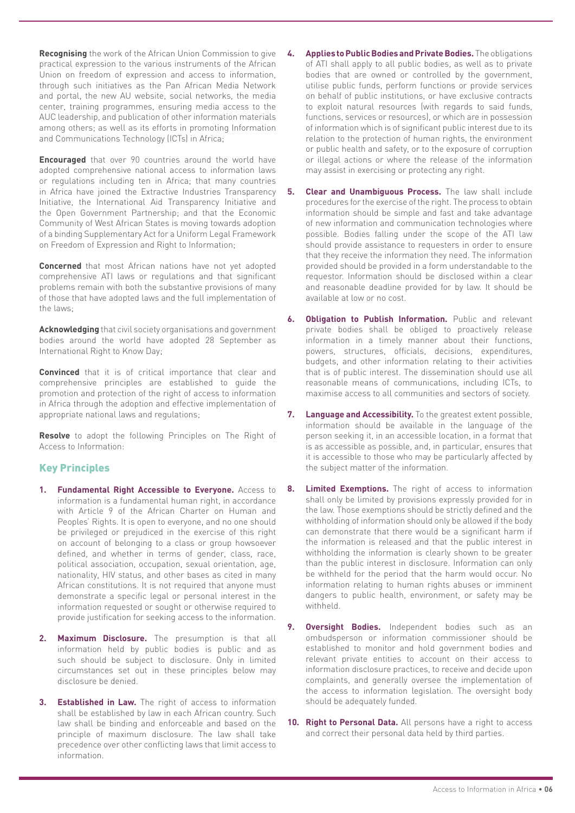**Recognising** the work of the African Union Commission to give practical expression to the various instruments of the African Union on freedom of expression and access to information, through such initiatives as the Pan African Media Network and portal, the new AU website, social networks, the media center, training programmes, ensuring media access to the AUC leadership, and publication of other information materials among others; as well as its efforts in promoting Information and Communications Technology (ICTs) in Africa;

**Encouraged** that over 90 countries around the world have adopted comprehensive national access to information laws or regulations including ten in Africa; that many countries in Africa have joined the Extractive Industries Transparency Initiative, the International Aid Transparency Initiative and the Open Government Partnership; and that the Economic Community of West African States is moving towards adoption of a binding Supplementary Act for a Uniform Legal Framework on Freedom of Expression and Right to Information;

**Concerned** that most African nations have not yet adopted comprehensive ATI laws or regulations and that significant problems remain with both the substantive provisions of many of those that have adopted laws and the full implementation of the laws;

**Acknowledging** that civil society organisations and government bodies around the world have adopted 28 September as International Right to Know Day;

**Convinced** that it is of critical importance that clear and comprehensive principles are established to guide the promotion and protection of the right of access to information in Africa through the adoption and effective implementation of appropriate national laws and regulations;

**Resolve** to adopt the following Principles on The Right of Access to Information:

#### Key Principles

- **1. Fundamental Right Accessible to Everyone.** Access to information is a fundamental human right, in accordance with Article 9 of the African Charter on Human and Peoples' Rights. It is open to everyone, and no one should be privileged or prejudiced in the exercise of this right on account of belonging to a class or group howsoever defined, and whether in terms of gender, class, race, political association, occupation, sexual orientation, age, nationality, HIV status, and other bases as cited in many African constitutions. It is not required that anyone must demonstrate a specific legal or personal interest in the information requested or sought or otherwise required to provide justification for seeking access to the information.
- **2. Maximum Disclosure.** The presumption is that all information held by public bodies is public and as such should be subject to disclosure. Only in limited circumstances set out in these principles below may disclosure be denied.
- **3. Established in Law.** The right of access to information shall be established by law in each African country. Such law shall be binding and enforceable and based on the principle of maximum disclosure. The law shall take precedence over other conflicting laws that limit access to information.
- **4. Applies to Public Bodies and Private Bodies.** The obligations of ATI shall apply to all public bodies, as well as to private bodies that are owned or controlled by the government, utilise public funds, perform functions or provide services on behalf of public institutions, or have exclusive contracts to exploit natural resources (with regards to said funds, functions, services or resources), or which are in possession of information which is of significant public interest due to its relation to the protection of human rights, the environment or public health and safety, or to the exposure of corruption or illegal actions or where the release of the information may assist in exercising or protecting any right.
- **5. Clear and Unambiguous Process.** The law shall include procedures for the exercise of the right. The process to obtain information should be simple and fast and take advantage of new information and communication technologies where possible. Bodies falling under the scope of the ATI law should provide assistance to requesters in order to ensure that they receive the information they need. The information provided should be provided in a form understandable to the requestor. Information should be disclosed within a clear and reasonable deadline provided for by law. It should be available at low or no cost.
- **6. Obligation to Publish Information.** Public and relevant private bodies shall be obliged to proactively release information in a timely manner about their functions, powers, structures, officials, decisions, expenditures, budgets, and other information relating to their activities that is of public interest. The dissemination should use all reasonable means of communications, including ICTs, to maximise access to all communities and sectors of society.
- **7. Language and Accessibility.** To the greatest extent possible, information should be available in the language of the person seeking it, in an accessible location, in a format that is as accessible as possible, and, in particular, ensures that it is accessible to those who may be particularly affected by the subject matter of the information.
- **8. Limited Exemptions.** The right of access to information shall only be limited by provisions expressly provided for in the law. Those exemptions should be strictly defined and the withholding of information should only be allowed if the body can demonstrate that there would be a significant harm if the information is released and that the public interest in withholding the information is clearly shown to be greater than the public interest in disclosure. Information can only be withheld for the period that the harm would occur. No information relating to human rights abuses or imminent dangers to public health, environment, or safety may be withheld.
- **9. Oversight Bodies.** Independent bodies such as an ombudsperson or information commissioner should be established to monitor and hold government bodies and relevant private entities to account on their access to information disclosure practices, to receive and decide upon complaints, and generally oversee the implementation of the access to information legislation. The oversight body should be adequately funded.
- **10. Right to Personal Data.** All persons have a right to access and correct their personal data held by third parties.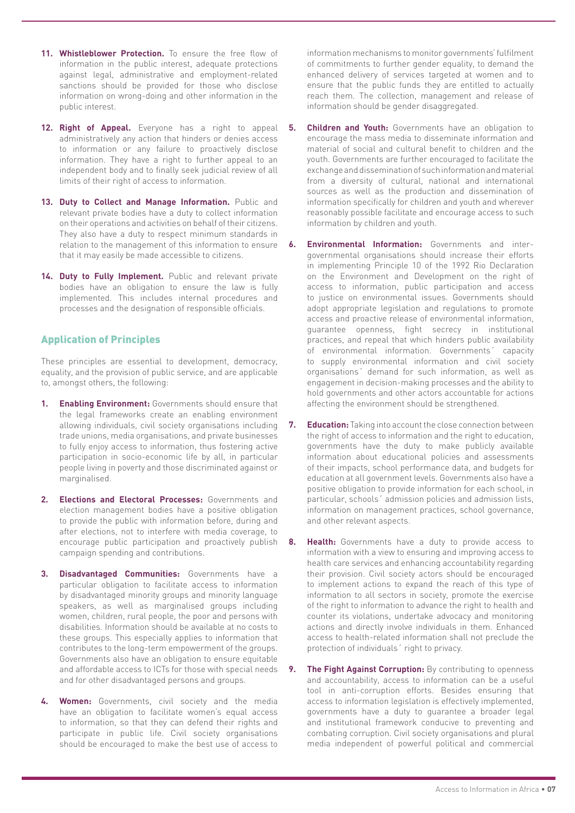- **11. Whistleblower Protection.** To ensure the free flow of information in the public interest, adequate protections against legal, administrative and employment-related sanctions should be provided for those who disclose information on wrong-doing and other information in the public interest.
- **12. Right of Appeal.** Everyone has a right to appeal administratively any action that hinders or denies access to information or any failure to proactively disclose information. They have a right to further appeal to an independent body and to finally seek judicial review of all limits of their right of access to information.
- **13. Duty to Collect and Manage Information.** Public and relevant private bodies have a duty to collect information on their operations and activities on behalf of their citizens. They also have a duty to respect minimum standards in relation to the management of this information to ensure  $\cdot$  6. that it may easily be made accessible to citizens.
- **14. Duty to Fully Implement.** Public and relevant private bodies have an obligation to ensure the law is fully implemented. This includes internal procedures and processes and the designation of responsible officials.

#### Application of Principles

These principles are essential to development, democracy, equality, and the provision of public service, and are applicable to, amongst others, the following:

- **1. Enabling Environment:** Governments should ensure that the legal frameworks create an enabling environment allowing individuals, civil society organisations including trade unions, media organisations, and private businesses to fully enjoy access to information, thus fostering active participation in socio-economic life by all, in particular people living in poverty and those discriminated against or marginalised.
- **2. Elections and Electoral Processes:** Governments and election management bodies have a positive obligation to provide the public with information before, during and after elections, not to interfere with media coverage, to encourage public participation and proactively publish campaign spending and contributions.
- **3. Disadvantaged Communities:** Governments have a particular obligation to facilitate access to information by disadvantaged minority groups and minority language speakers, as well as marginalised groups including women, children, rural people, the poor and persons with disabilities. Information should be available at no costs to these groups. This especially applies to information that contributes to the long-term empowerment of the groups. Governments also have an obligation to ensure equitable and affordable access to ICTs for those with special needs and for other disadvantaged persons and groups.
- **4. Women:** Governments, civil society and the media have an obligation to facilitate women's equal access to information, so that they can defend their rights and participate in public life. Civil society organisations should be encouraged to make the best use of access to

information mechanisms to monitor governments' fulfilment of commitments to further gender equality, to demand the enhanced delivery of services targeted at women and to ensure that the public funds they are entitled to actually reach them. The collection, management and release of information should be gender disaggregated.

- **Children and Youth:** Governments have an obligation to encourage the mass media to disseminate information and material of social and cultural benefit to children and the youth. Governments are further encouraged to facilitate the exchange and dissemination of such information and material from a diversity of cultural, national and international sources as well as the production and dissemination of information specifically for children and youth and wherever reasonably possible facilitate and encourage access to such information by children and youth.
- **6. Environmental Information:** Governments and intergovernmental organisations should increase their efforts in implementing Principle 10 of the 1992 Rio Declaration on the Environment and Development on the right of access to information, public participation and access to justice on environmental issues. Governments should adopt appropriate legislation and regulations to promote access and proactive release of environmental information, guarantee openness, fight secrecy in institutional practices, and repeal that which hinders public availability of environmental information. Governments´ capacity to supply environmental information and civil society organisations´ demand for such information, as well as engagement in decision-making processes and the ability to hold governments and other actors accountable for actions affecting the environment should be strengthened.
- **7. Education:** Taking into account the close connection between the right of access to information and the right to education, governments have the duty to make publicly available information about educational policies and assessments of their impacts, school performance data, and budgets for education at all government levels. Governments also have a positive obligation to provide information for each school, in particular, schools´ admission policies and admission lists, information on management practices, school governance, and other relevant aspects.
- **8. Health:** Governments have a duty to provide access to information with a view to ensuring and improving access to health care services and enhancing accountability regarding their provision. Civil society actors should be encouraged to implement actions to expand the reach of this type of information to all sectors in society, promote the exercise of the right to information to advance the right to health and counter its violations, undertake advocacy and monitoring actions and directly involve individuals in them. Enhanced access to health-related information shall not preclude the protection of individuals´ right to privacy.
- **9.** The Fight Against Corruption: By contributing to openness and accountability, access to information can be a useful tool in anti-corruption efforts. Besides ensuring that access to information legislation is effectively implemented, governments have a duty to guarantee a broader legal and institutional framework conducive to preventing and combating corruption. Civil society organisations and plural media independent of powerful political and commercial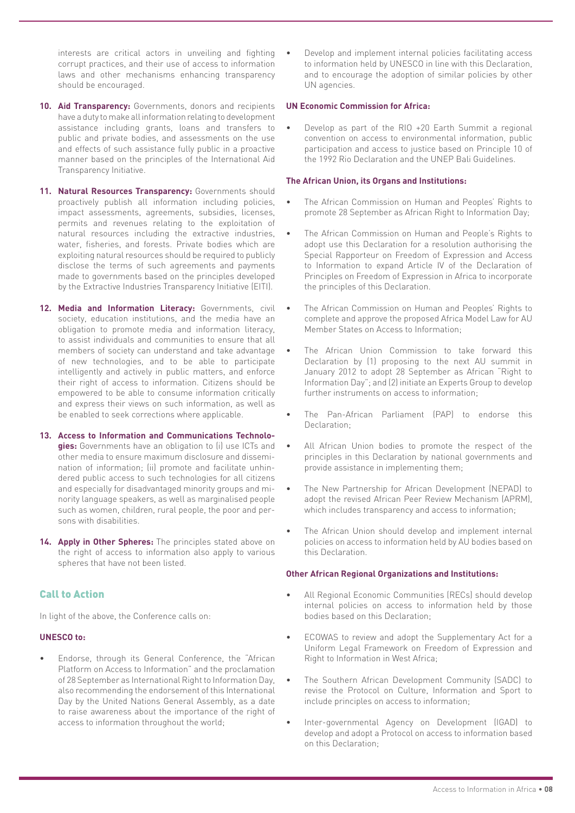interests are critical actors in unveiling and fighting corrupt practices, and their use of access to information laws and other mechanisms enhancing transparency should be encouraged.

- **10. Aid Transparency:** Governments, donors and recipients have a duty to make all information relating to development assistance including grants, loans and transfers to public and private bodies, and assessments on the use and effects of such assistance fully public in a proactive manner based on the principles of the International Aid Transparency Initiative.
- 11. **Natural Resources Transparency:** Governments should proactively publish all information including policies, impact assessments, agreements, subsidies, licenses, permits and revenues relating to the exploitation of natural resources including the extractive industries, water, fisheries, and forests. Private bodies which are exploiting natural resources should be required to publicly disclose the terms of such agreements and payments made to governments based on the principles developed by the Extractive Industries Transparency Initiative (EITI).
- **12. Media and Information Literacy:** Governments, civil society, education institutions, and the media have an obligation to promote media and information literacy, to assist individuals and communities to ensure that all members of society can understand and take advantage of new technologies, and to be able to participate intelligently and actively in public matters, and enforce their right of access to information. Citizens should be empowered to be able to consume information critically and express their views on such information, as well as be enabled to seek corrections where applicable.
- **13. Access to Information and Communications Technologies:** Governments have an obligation to (i) use ICTs and other media to ensure maximum disclosure and dissemination of information; (ii) promote and facilitate unhindered public access to such technologies for all citizens and especially for disadvantaged minority groups and minority language speakers, as well as marginalised people such as women, children, rural people, the poor and persons with disabilities.
- **14. Apply in Other Spheres:** The principles stated above on the right of access to information also apply to various spheres that have not been listed.

#### Call to Action

In light of the above, the Conference calls on:

#### **UNESCO to:**

• Endorse, through its General Conference, the "African Platform on Access to Information" and the proclamation of 28 September as International Right to Information Day, also recommending the endorsement of this International Day by the United Nations General Assembly, as a date to raise awareness about the importance of the right of access to information throughout the world;

Develop and implement internal policies facilitating access to information held by UNESCO in line with this Declaration, and to encourage the adoption of similar policies by other UN agencies.

#### **UN Economic Commission for Africa:**

• Develop as part of the RIO +20 Earth Summit a regional convention on access to environmental information, public participation and access to justice based on Principle 10 of the 1992 Rio Declaration and the UNEP Bali Guidelines.

#### **The African Union, its Organs and Institutions:**

- The African Commission on Human and Peoples' Rights to promote 28 September as African Right to Information Day;
- The African Commission on Human and People's Rights to adopt use this Declaration for a resolution authorising the Special Rapporteur on Freedom of Expression and Access to Information to expand Article IV of the Declaration of Principles on Freedom of Expression in Africa to incorporate the principles of this Declaration.
- The African Commission on Human and Peoples' Rights to complete and approve the proposed Africa Model Law for AU Member States on Access to Information;
- The African Union Commission to take forward this Declaration by (1) proposing to the next AU summit in January 2012 to adopt 28 September as African "Right to Information Day"; and (2) initiate an Experts Group to develop further instruments on access to information;
- The Pan-African Parliament (PAP) to endorse this Declaration:
- All African Union bodies to promote the respect of the principles in this Declaration by national governments and provide assistance in implementing them;
- The New Partnership for African Development (NEPAD) to adopt the revised African Peer Review Mechanism (APRM), which includes transparency and access to information;
- The African Union should develop and implement internal policies on access to information held by AU bodies based on this Declaration.

#### **Other African Regional Organizations and Institutions:**

- All Regional Economic Communities (RECs) should develop internal policies on access to information held by those bodies based on this Declaration;
- ECOWAS to review and adopt the Supplementary Act for a Uniform Legal Framework on Freedom of Expression and Right to Information in West Africa;
- The Southern African Development Community (SADC) to revise the Protocol on Culture, Information and Sport to include principles on access to information;
- Inter-governmental Agency on Development (IGAD) to develop and adopt a Protocol on access to information based on this Declaration;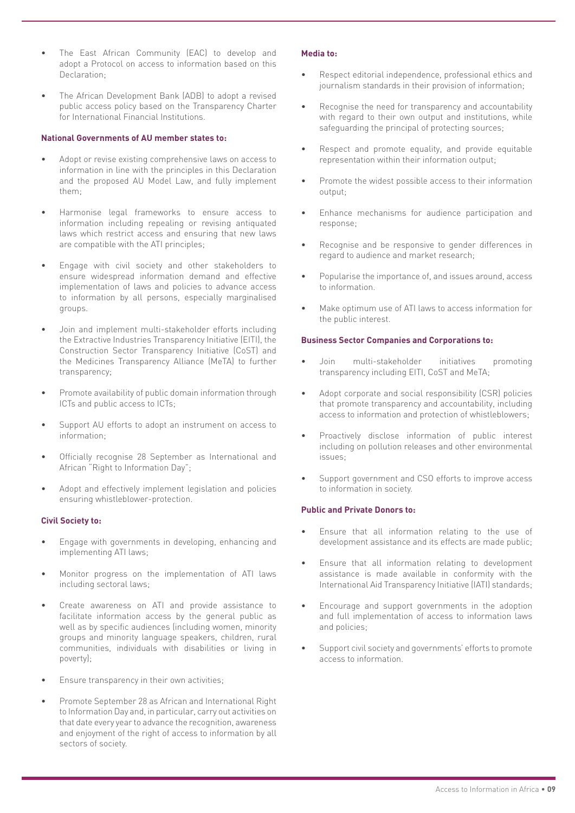- The East African Community (EAC) to develop and adopt a Protocol on access to information based on this Declaration;
- The African Development Bank (ADB) to adopt a revised public access policy based on the Transparency Charter for International Financial Institutions.

#### **National Governments of AU member states to:**

- Adopt or revise existing comprehensive laws on access to information in line with the principles in this Declaration and the proposed AU Model Law, and fully implement them;
- Harmonise legal frameworks to ensure access to information including repealing or revising antiquated laws which restrict access and ensuring that new laws are compatible with the ATI principles;
- Engage with civil society and other stakeholders to ensure widespread information demand and effective implementation of laws and policies to advance access to information by all persons, especially marginalised groups.
- Join and implement multi-stakeholder efforts including the Extractive Industries Transparency Initiative (EITI), the Construction Sector Transparency Initiative (CoST) and the Medicines Transparency Alliance (MeTA) to further transparency;
- Promote availability of public domain information through ICTs and public access to ICTs;
- Support AU efforts to adopt an instrument on access to information;
- Officially recognise 28 September as International and African "Right to Information Day";
- Adopt and effectively implement legislation and policies ensuring whistleblower-protection.

#### **Civil Society to:**

- Engage with governments in developing, enhancing and implementing ATI laws;
- Monitor progress on the implementation of ATI laws including sectoral laws;
- Create awareness on ATI and provide assistance to facilitate information access by the general public as well as by specific audiences (including women, minority groups and minority language speakers, children, rural communities, individuals with disabilities or living in poverty);
- Ensure transparency in their own activities;
- Promote September 28 as African and International Right to Information Day and, in particular, carry out activities on that date every year to advance the recognition, awareness and enjoyment of the right of access to information by all sectors of society.

#### **Media to:**

- Respect editorial independence, professional ethics and journalism standards in their provision of information;
- Recognise the need for transparency and accountability with regard to their own output and institutions, while safeguarding the principal of protecting sources;
- Respect and promote equality, and provide equitable representation within their information output;
- Promote the widest possible access to their information output;
- Enhance mechanisms for audience participation and response;
- Recognise and be responsive to gender differences in regard to audience and market research;
- Popularise the importance of, and issues around, access to information.
- Make optimum use of ATI laws to access information for the public interest.

#### **Business Sector Companies and Corporations to:**

- Join multi-stakeholder initiatives promoting transparency including EITI, CoST and MeTA;
- Adopt corporate and social responsibility (CSR) policies that promote transparency and accountability, including access to information and protection of whistleblowers;
- Proactively disclose information of public interest including on pollution releases and other environmental issues;
- Support government and CSO efforts to improve access to information in society.

#### **Public and Private Donors to:**

- Ensure that all information relating to the use of development assistance and its effects are made public;
- Ensure that all information relating to development assistance is made available in conformity with the International Aid Transparency Initiative (IATI) standards;
- Encourage and support governments in the adoption and full implementation of access to information laws and policies;
- Support civil society and governments' efforts to promote access to information.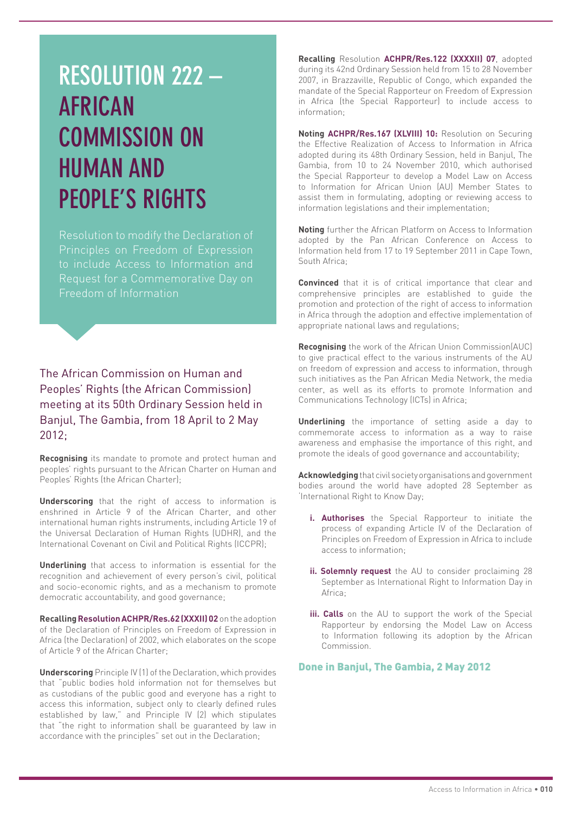## **RESOLUTION 222 – AFRICAN COMMISSION ON HUMAN AND PEOPLE'S RIGHTS**

Resolution to modify the Declaration of Principles on Freedom of Expression to include Access to Information and Request for a Commemorative Day on Freedom of Information

The African Commission on Human and Peoples' Rights (the African Commission) meeting at its 50th Ordinary Session held in Banjul, The Gambia, from 18 April to 2 May 2012;

**Recognising** its mandate to promote and protect human and peoples' rights pursuant to the African Charter on Human and Peoples' Rights (the African Charter);

**Underscoring** that the right of access to information is enshrined in Article 9 of the African Charter, and other international human rights instruments, including Article 19 of the Universal Declaration of Human Rights (UDHR), and the International Covenant on Civil and Political Rights (ICCPR);

**Underlining** that access to information is essential for the recognition and achievement of every person's civil, political and socio-economic rights, and as a mechanism to promote democratic accountability, and good governance;

**Recalling Resolution ACHPR/Res.62 (XXXII) 02** on the adoption of the Declaration of Principles on Freedom of Expression in Africa (the Declaration) of 2002, which elaborates on the scope of Article 9 of the African Charter;

**Underscoring** Principle IV (1) of the Declaration, which provides that "public bodies hold information not for themselves but as custodians of the public good and everyone has a right to access this information, subject only to clearly defined rules established by law," and Principle IV (2) which stipulates that "the right to information shall be guaranteed by law in accordance with the principles" set out in the Declaration;

**Recalling** Resolution **ACHPR/Res.122 (XXXXII) 07**, adopted during its 42nd Ordinary Session held from 15 to 28 November 2007, in Brazzaville, Republic of Congo, which expanded the mandate of the Special Rapporteur on Freedom of Expression in Africa (the Special Rapporteur) to include access to information;

**Noting ACHPR/Res.167 (XLVIII) 10:** Resolution on Securing the Effective Realization of Access to Information in Africa adopted during its 48th Ordinary Session, held in Banjul, The Gambia, from 10 to 24 November 2010, which authorised the Special Rapporteur to develop a Model Law on Access to Information for African Union (AU) Member States to assist them in formulating, adopting or reviewing access to information legislations and their implementation;

**Noting** further the African Platform on Access to Information adopted by the Pan African Conference on Access to Information held from 17 to 19 September 2011 in Cape Town, South Africa;

**Convinced** that it is of critical importance that clear and comprehensive principles are established to guide the promotion and protection of the right of access to information in Africa through the adoption and effective implementation of appropriate national laws and regulations;

**Recognising** the work of the African Union Commission(AUC) to give practical effect to the various instruments of the AU on freedom of expression and access to information, through such initiatives as the Pan African Media Network, the media center, as well as its efforts to promote Information and Communications Technology (ICTs) in Africa;

**Underlining** the importance of setting aside a day to commemorate access to information as a way to raise awareness and emphasise the importance of this right, and promote the ideals of good governance and accountability;

**Acknowledging** that civil society organisations and government bodies around the world have adopted 28 September as 'International Right to Know Day;

- **i. Authorises** the Special Rapporteur to initiate the process of expanding Article IV of the Declaration of Principles on Freedom of Expression in Africa to include access to information;
- **ii. Solemnly request** the AU to consider proclaiming 28 September as International Right to Information Day in Africa;
- **iii. Calls** on the AU to support the work of the Special Rapporteur by endorsing the Model Law on Access to Information following its adoption by the African Commission.

Done in Banjul, The Gambia, 2 May 2012